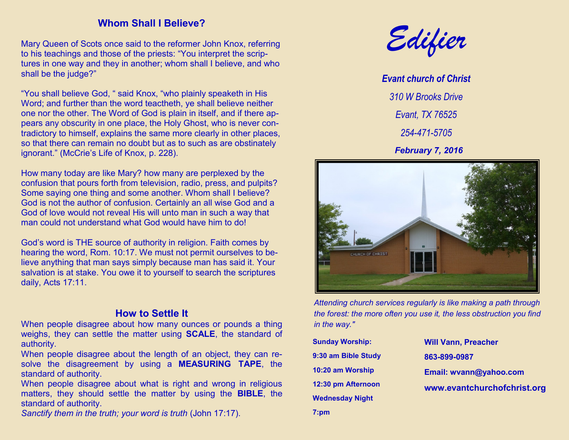### **Whom Shall I Believe?**

Mary Queen of Scots once said to the reformer John Knox, referring to his teachings and those of the priests: "You interpret the scriptures in one way and they in another; whom shall I believe, and who shall be the judge?"

"You shall believe God, " said Knox, "who plainly speaketh in His Word; and further than the word teactheth, ye shall believe neither one nor the other. The Word of God is plain in itself, and if there appears any obscurity in one place, the Holy Ghost, who is never contradictory to himself, explains the same more clearly in other places, so that there can remain no doubt but as to such as are obstinately ignorant." (McCrie's Life of Knox, p. 228).

How many today are like Mary? how many are perplexed by the confusion that pours forth from television, radio, press, and pulpits? Some saying one thing and some another. Whom shall I believe? God is not the author of confusion. Certainly an all wise God and a God of love would not reveal His will unto man in such a way that man could not understand what God would have him to do!

God's word is THE source of authority in religion. Faith comes by hearing the word, Rom. 10:17. We must not permit ourselves to believe anything that man says simply because man has said it. Your salvation is at stake. You owe it to yourself to search the scriptures daily, Acts 17:11.

## **How to Settle It**

When people disagree about how many ounces or pounds a thing weighs, they can settle the matter using **SCALE**, the standard of authority.

When people disagree about the length of an object, they can resolve the disagreement by using a **MEASURING TAPE**, the standard of authority.

When people disagree about what is right and wrong in religious matters, they should settle the matter by using the **BIBLE**, the standard of authority.

*Sanctify them in the truth; your word is truth (John 17:17).* 



*Evant church of Christ 310 W Brooks Drive Evant, TX 76525 254-471-5705 February 7, 2016*



*Attending church services regularly is like making a path through the forest: the more often you use it, the less obstruction you find in the way."*

**Sunday Worship: 9:30 am Bible Study 10:20 am Worship 12:30 pm Afternoon Wednesday Night**

**7:pm**

**Will Vann, Preacher 863-899-0987 Email: wvann@yahoo.com www.evantchurchofchrist.org**